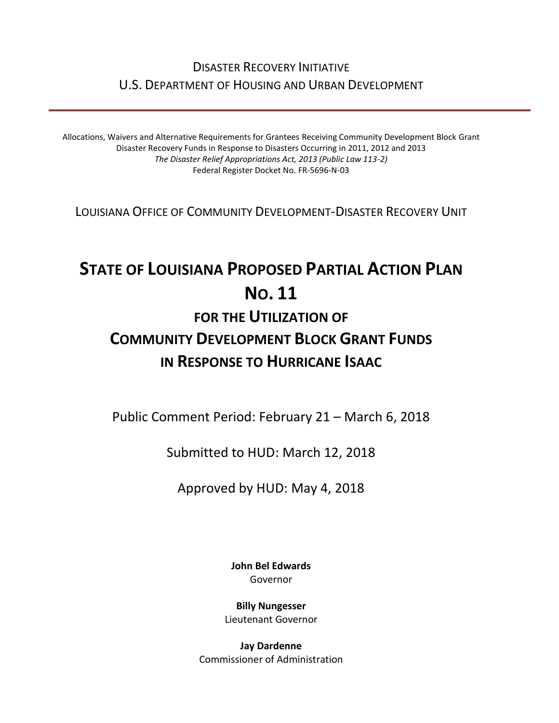### DISASTER RECOVERY INITIATIVE U.S. DEPARTMENT OF HOUSING AND URBAN DEVELOPMENT

Allocations, Waivers and Alternative Requirements for Grantees Receiving Community Development Block Grant Disaster Recovery Funds in Response to Disasters Occurring in 2011, 2012 and 2013 *The Disaster Relief Appropriations Act, 2013 (Public Law 113-2)* Federal Register Docket No. FR-5696-N-03

LOUISIANA OFFICE OF COMMUNITY DEVELOPMENT-DISASTER RECOVERY UNIT

# **STATE OF LOUISIANA PROPOSED PARTIAL ACTION PLAN NO. 11 FOR THE UTILIZATION OF COMMUNITY DEVELOPMENT BLOCK GRANT FUNDS**

## **IN RESPONSE TO HURRICANE ISAAC**

Public Comment Period: February 21 – March 6, 2018

Submitted to HUD: March 12, 2018

Approved by HUD: May 4, 2018

**[John Bel Edwards](https://www.facebook.com/LouisianaGov/)** Governor

**Billy Nungesser** Lieutenant Governor

**Jay Dardenne** Commissioner of Administration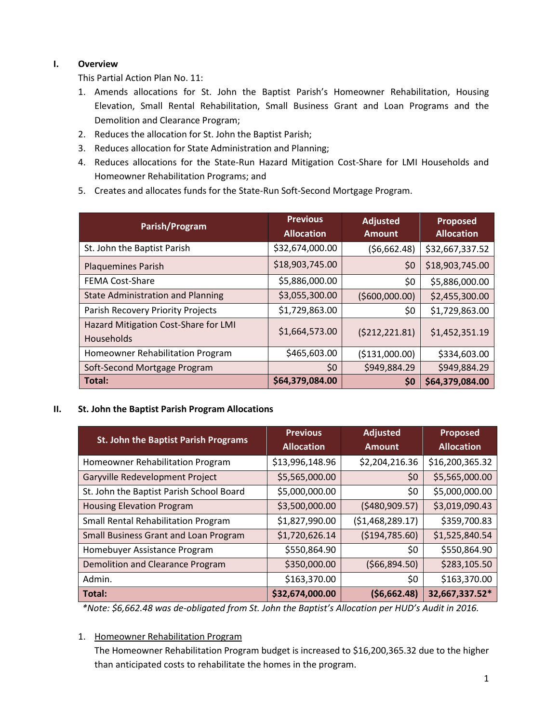#### **I. Overview**

This Partial Action Plan No. 11:

- 1. Amends allocations for St. John the Baptist Parish's Homeowner Rehabilitation, Housing Elevation, Small Rental Rehabilitation, Small Business Grant and Loan Programs and the Demolition and Clearance Program;
- 2. Reduces the allocation for St. John the Baptist Parish;
- 3. Reduces allocation for State Administration and Planning;
- 4. Reduces allocations for the State-Run Hazard Mitigation Cost-Share for LMI Households and Homeowner Rehabilitation Programs; and
- 5. Creates and allocates funds for the State-Run Soft-Second Mortgage Program.

| Parish/Program                                            | <b>Previous</b><br><b>Allocation</b> | <b>Adjusted</b><br><b>Amount</b> | Proposed<br><b>Allocation</b> |
|-----------------------------------------------------------|--------------------------------------|----------------------------------|-------------------------------|
| St. John the Baptist Parish                               | \$32,674,000.00                      | (56,662.48)                      | \$32,667,337.52               |
| <b>Plaquemines Parish</b>                                 | \$18,903,745.00                      | \$0                              | \$18,903,745.00               |
| <b>FEMA Cost-Share</b>                                    | \$5,886,000.00                       | \$0                              | \$5,886,000.00                |
| <b>State Administration and Planning</b>                  | \$3,055,300.00                       | ( \$600,000.00)                  | \$2,455,300.00                |
| Parish Recovery Priority Projects                         | \$1,729,863.00                       | \$0                              | \$1,729,863.00                |
| Hazard Mitigation Cost-Share for LMI<br><b>Households</b> | \$1,664,573.00                       | ( \$212, 221.81)                 | \$1,452,351.19                |
| Homeowner Rehabilitation Program                          | \$465,603.00                         | ( \$131,000.00)                  | \$334,603.00                  |
| Soft-Second Mortgage Program                              | \$0                                  | \$949,884.29                     | \$949,884.29                  |
| Total:                                                    | \$64,379,084.00                      | \$0                              | \$64,379,084.00               |

**II. St. John the Baptist Parish Program Allocations**

| St. John the Baptist Parish Programs       | <b>Previous</b><br><b>Allocation</b> | <b>Adjusted</b><br><b>Amount</b> | <b>Proposed</b><br><b>Allocation</b> |
|--------------------------------------------|--------------------------------------|----------------------------------|--------------------------------------|
| Homeowner Rehabilitation Program           | \$13,996,148.96                      | \$2,204,216.36                   | \$16,200,365.32                      |
| Garyville Redevelopment Project            | \$5,565,000.00                       | \$0                              | \$5,565,000.00                       |
| St. John the Baptist Parish School Board   | \$5,000,000.00                       | \$0                              | \$5,000,000.00                       |
| <b>Housing Elevation Program</b>           | \$3,500,000.00                       | (5480,909.57)                    | \$3,019,090.43                       |
| <b>Small Rental Rehabilitation Program</b> | \$1,827,990.00                       | (51, 468, 289.17)                | \$359,700.83                         |
| Small Business Grant and Loan Program      | \$1,720,626.14                       | ( \$194, 785.60)                 | \$1,525,840.54                       |
| Homebuyer Assistance Program               | \$550,864.90                         | \$0                              | \$550,864.90                         |
| <b>Demolition and Clearance Program</b>    | \$350,000.00                         | (566, 894.50)                    | \$283,105.50                         |
| Admin.                                     | \$163,370.00                         | \$0                              | \$163,370.00                         |
| Total:                                     | \$32,674,000.00                      | (56,662.48)                      | 32,667,337.52*                       |

*\*Note: \$6,662.48 was de-obligated from St. John the Baptist's Allocation per HUD's Audit in 2016.*

1. Homeowner Rehabilitation Program

The Homeowner Rehabilitation Program budget is increased to \$16,200,365.32 due to the higher than anticipated costs to rehabilitate the homes in the program.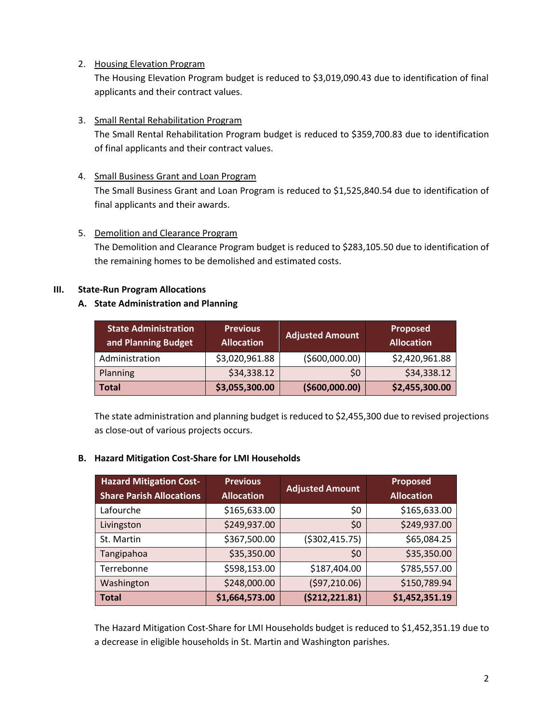2. Housing Elevation Program

The Housing Elevation Program budget is reduced to \$3,019,090.43 due to identification of final applicants and their contract values.

#### 3. Small Rental Rehabilitation Program

The Small Rental Rehabilitation Program budget is reduced to \$359,700.83 due to identification of final applicants and their contract values.

#### 4. Small Business Grant and Loan Program

The Small Business Grant and Loan Program is reduced to \$1,525,840.54 due to identification of final applicants and their awards.

#### 5. Demolition and Clearance Program

The Demolition and Clearance Program budget is reduced to \$283,105.50 due to identification of the remaining homes to be demolished and estimated costs.

#### **III. State-Run Program Allocations**

#### **A. State Administration and Planning**

| <b>State Administration</b><br>and Planning Budget | <b>Previous</b><br><b>Allocation</b> | <b>Adjusted Amount</b> | Proposed<br><b>Allocation</b> |
|----------------------------------------------------|--------------------------------------|------------------------|-------------------------------|
| Administration                                     | \$3,020,961.88                       | ( \$600,000.00)        | \$2,420,961.88                |
| Planning                                           | \$34,338.12                          | \$0                    | \$34,338.12                   |
| Total                                              | \$3,055,300.00                       | ( \$600,000.00)        | \$2,455,300.00                |

The state administration and planning budget is reduced to \$2,455,300 due to revised projections as close-out of various projects occurs.

#### **B. Hazard Mitigation Cost-Share for LMI Households**

| <b>Hazard Mitigation Cost-</b><br><b>Share Parish Allocations</b> | <b>Previous</b><br><b>Allocation</b> | <b>Adjusted Amount</b> | <b>Proposed</b><br><b>Allocation</b> |
|-------------------------------------------------------------------|--------------------------------------|------------------------|--------------------------------------|
|                                                                   |                                      |                        |                                      |
| Lafourche                                                         | \$165,633.00                         | \$0                    | \$165,633.00                         |
| Livingston                                                        | \$249,937.00                         | \$0                    | \$249,937.00                         |
| St. Martin                                                        | \$367,500.00                         | ( \$302, 415.75)       | \$65,084.25                          |
| Tangipahoa                                                        | \$35,350.00                          | \$0                    | \$35,350.00                          |
| Terrebonne                                                        | \$598,153.00                         | \$187,404.00           | \$785,557.00                         |
| Washington                                                        | \$248,000.00                         | (597, 210.06)          | \$150,789.94                         |
| <b>Total</b>                                                      | \$1,664,573.00                       | (5212, 221.81)         | \$1,452,351.19                       |

The Hazard Mitigation Cost-Share for LMI Households budget is reduced to \$1,452,351.19 due to a decrease in eligible households in St. Martin and Washington parishes.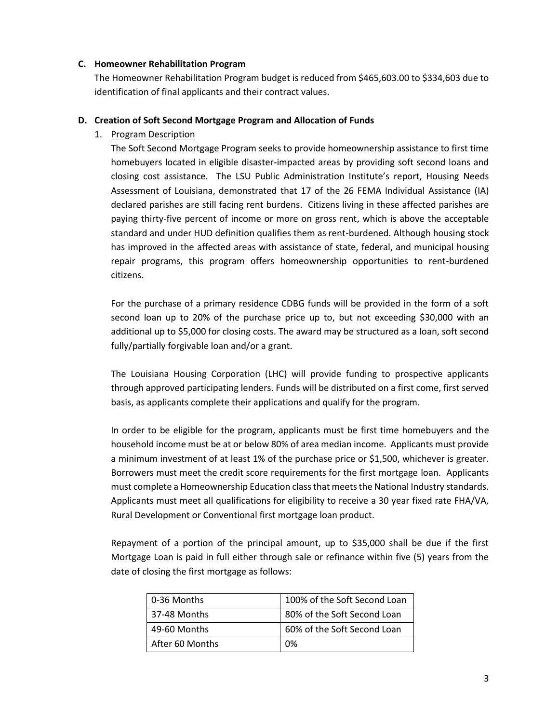#### **C. Homeowner Rehabilitation Program**

The Homeowner Rehabilitation Program budget is reduced from \$465,603.00 to \$334,603 due to identification of final applicants and their contract values.

#### **D. Creation of Soft Second Mortgage Program and Allocation of Funds**

1. Program Description

The Soft Second Mortgage Program seeks to provide homeownership assistance to first time homebuyers located in eligible disaster-impacted areas by providing soft second loans and closing cost assistance. The LSU Public Administration Institute's report, Housing Needs Assessment of Louisiana, demonstrated that 17 of the 26 FEMA Individual Assistance (IA) declared parishes are still facing rent burdens. Citizens living in these affected parishes are paying thirty-five percent of income or more on gross rent, which is above the acceptable standard and under HUD definition qualifies them as rent-burdened. Although housing stock has improved in the affected areas with assistance of state, federal, and municipal housing repair programs, this program offers homeownership opportunities to rent-burdened citizens.

For the purchase of a primary residence CDBG funds will be provided in the form of a soft second loan up to 20% of the purchase price up to, but not exceeding \$30,000 with an additional up to \$5,000 for closing costs. The award may be structured as a loan, soft second fully/partially forgivable loan and/or a grant.

The Louisiana Housing Corporation (LHC) will provide funding to prospective applicants through approved participating lenders. Funds will be distributed on a first come, first served basis, as applicants complete their applications and qualify for the program.

In order to be eligible for the program, applicants must be first time homebuyers and the household income must be at or below 80% of area median income. Applicants must provide a minimum investment of at least 1% of the purchase price or \$1,500, whichever is greater. Borrowers must meet the credit score requirements for the first mortgage loan. Applicants must complete a Homeownership Education class that meets the National Industry standards. Applicants must meet all qualifications for eligibility to receive a 30 year fixed rate FHA/VA, Rural Development or Conventional first mortgage loan product.

Repayment of a portion of the principal amount, up to \$35,000 shall be due if the first Mortgage Loan is paid in full either through sale or refinance within five (5) years from the date of closing the first mortgage as follows:

| 0-36 Months     | 100% of the Soft Second Loan |
|-----------------|------------------------------|
| 37-48 Months    | 80% of the Soft Second Loan  |
| 49-60 Months    | 60% of the Soft Second Loan  |
| After 60 Months | በ%                           |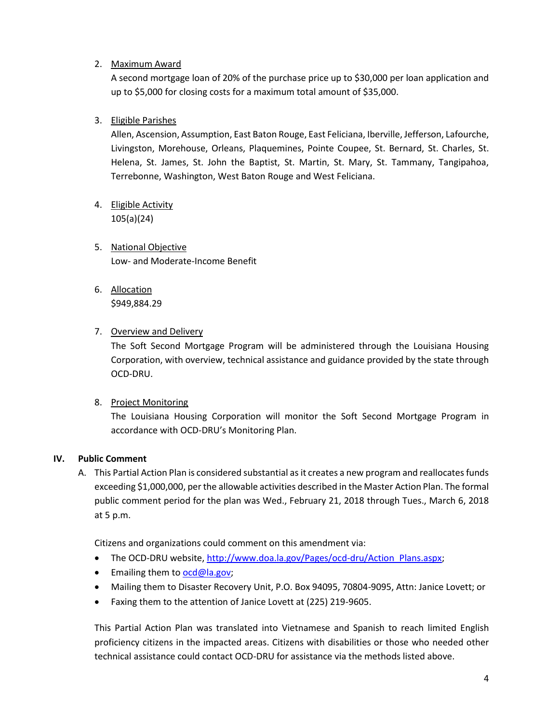2. Maximum Award

A second mortgage loan of 20% of the purchase price up to \$30,000 per loan application and up to \$5,000 for closing costs for a maximum total amount of \$35,000.

3. Eligible Parishes

Allen, Ascension, Assumption, East Baton Rouge, East Feliciana, Iberville, Jefferson, Lafourche, Livingston, Morehouse, Orleans, Plaquemines, Pointe Coupee, St. Bernard, St. Charles, St. Helena, St. James, St. John the Baptist, St. Martin, St. Mary, St. Tammany, Tangipahoa, Terrebonne, Washington, West Baton Rouge and West Feliciana.

- 4. Eligible Activity 105(a)(24)
- 5. National Objective Low- and Moderate-Income Benefit
- 6. Allocation \$949,884.29
- 7. Overview and Delivery

The Soft Second Mortgage Program will be administered through the Louisiana Housing Corporation, with overview, technical assistance and guidance provided by the state through OCD-DRU.

8. Project Monitoring

The Louisiana Housing Corporation will monitor the Soft Second Mortgage Program in accordance with OCD-DRU's Monitoring Plan.

#### **IV. Public Comment**

A. This Partial Action Plan is considered substantial as it creates a new program and reallocates funds exceeding \$1,000,000, per the allowable activities described in the Master Action Plan. The formal public comment period for the plan was Wed., February 21, 2018 through Tues., March 6, 2018 at 5 p.m.

Citizens and organizations could comment on this amendment via:

- The OCD-DRU website[, http://www.doa.la.gov/Pages/ocd-dru/Action\\_Plans.aspx;](http://www.doa.la.gov/Pages/ocd-dru/Action_Plans.aspx)
- **Emailing them to [ocd@la.gov;](mailto:ocd@la.gov)**
- Mailing them to Disaster Recovery Unit, P.O. Box 94095, 70804-9095, Attn: Janice Lovett; or
- Faxing them to the attention of Janice Lovett at (225) 219-9605.

This Partial Action Plan was translated into Vietnamese and Spanish to reach limited English proficiency citizens in the impacted areas. Citizens with disabilities or those who needed other technical assistance could contact OCD-DRU for assistance via the methods listed above.